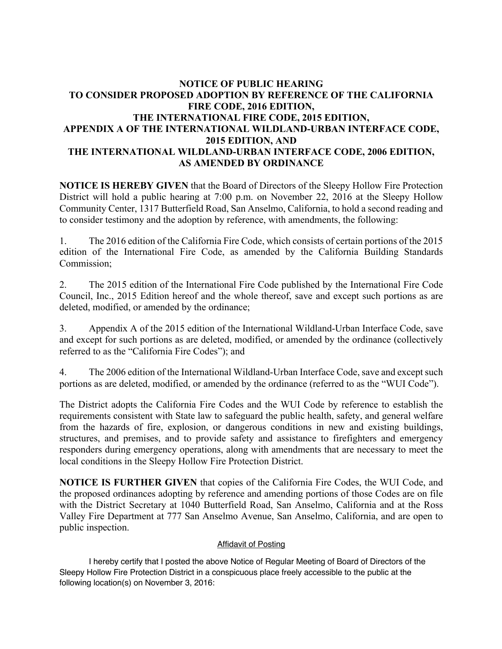## **NOTICE OF PUBLIC HEARING TO CONSIDER PROPOSED ADOPTION BY REFERENCE OF THE CALIFORNIA FIRE CODE, 2016 EDITION, THE INTERNATIONAL FIRE CODE, 2015 EDITION, APPENDIX A OF THE INTERNATIONAL WILDLAND-URBAN INTERFACE CODE, 2015 EDITION, AND THE INTERNATIONAL WILDLAND-URBAN INTERFACE CODE, 2006 EDITION, AS AMENDED BY ORDINANCE**

**NOTICE IS HEREBY GIVEN** that the Board of Directors of the Sleepy Hollow Fire Protection District will hold a public hearing at 7:00 p.m. on November 22, 2016 at the Sleepy Hollow Community Center, 1317 Butterfield Road, San Anselmo, California, to hold a second reading and to consider testimony and the adoption by reference, with amendments, the following:

1. The 2016 edition of the California Fire Code, which consists of certain portions of the 2015 edition of the International Fire Code, as amended by the California Building Standards Commission;

2. The 2015 edition of the International Fire Code published by the International Fire Code Council, Inc., 2015 Edition hereof and the whole thereof, save and except such portions as are deleted, modified, or amended by the ordinance;

3. Appendix A of the 2015 edition of the International Wildland-Urban Interface Code, save and except for such portions as are deleted, modified, or amended by the ordinance (collectively referred to as the "California Fire Codes"); and

4. The 2006 edition of the International Wildland-Urban Interface Code, save and except such portions as are deleted, modified, or amended by the ordinance (referred to as the "WUI Code").

The District adopts the California Fire Codes and the WUI Code by reference to establish the requirements consistent with State law to safeguard the public health, safety, and general welfare from the hazards of fire, explosion, or dangerous conditions in new and existing buildings, structures, and premises, and to provide safety and assistance to firefighters and emergency responders during emergency operations, along with amendments that are necessary to meet the local conditions in the Sleepy Hollow Fire Protection District.

**NOTICE IS FURTHER GIVEN** that copies of the California Fire Codes, the WUI Code, and the proposed ordinances adopting by reference and amending portions of those Codes are on file with the District Secretary at 1040 Butterfield Road, San Anselmo, California and at the Ross Valley Fire Department at 777 San Anselmo Avenue, San Anselmo, California, and are open to public inspection.

## Affidavit of Posting

I hereby certify that I posted the above Notice of Regular Meeting of Board of Directors of the Sleepy Hollow Fire Protection District in a conspicuous place freely accessible to the public at the following location(s) on November 3, 2016: